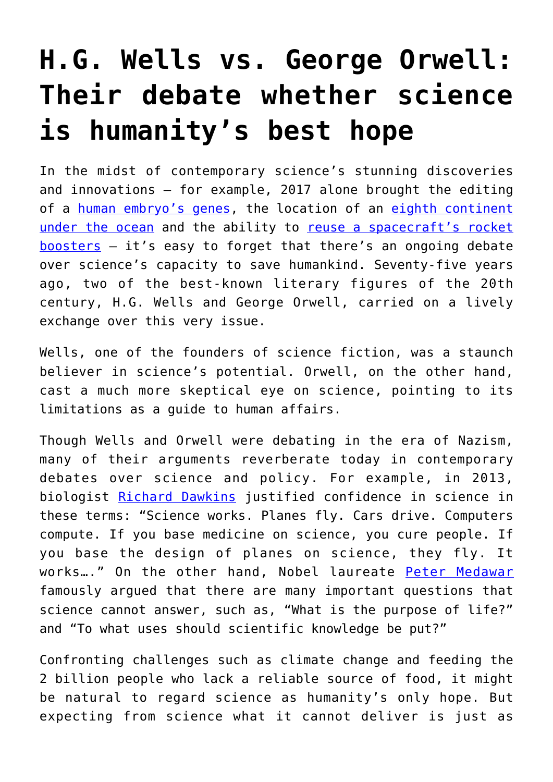# **[H.G. Wells vs. George Orwell:](https://intellectualtakeout.org/2017/12/h-g-wells-vs-george-orwell-their-debate-whether-science-is-humanitys-best-hope/) [Their debate whether science](https://intellectualtakeout.org/2017/12/h-g-wells-vs-george-orwell-their-debate-whether-science-is-humanitys-best-hope/) [is humanity's best hope](https://intellectualtakeout.org/2017/12/h-g-wells-vs-george-orwell-their-debate-whether-science-is-humanitys-best-hope/)**

In the midst of contemporary science's stunning discoveries and innovations – for example, 2017 alone brought the editing of a [human embryo's genes](http://www.sciencemag.org/news/2017/07/first-us-team-gene-edit-human-embryos-revealed), the location of an [eighth continent](http://www.bbc.com/news/world-asia-39000936) [under the ocean](http://www.bbc.com/news/world-asia-39000936) and the ability to [reuse a spacecraft's rocket](http://money.cnn.com/2017/06/03/technology/future/spacex-launch-dragon-reuse-crs-11-launch/index.html)  $boosters - it's easy to forget that there's an ongoing debate$  $boosters - it's easy to forget that there's an ongoing debate$ over science's capacity to save humankind. Seventy-five years ago, two of the best-known literary figures of the 20th century, H.G. Wells and George Orwell, carried on a lively exchange over this very issue.

Wells, one of the founders of science fiction, was a staunch believer in science's potential. Orwell, on the other hand, cast a much more skeptical eye on science, pointing to its limitations as a guide to human affairs.

Though Wells and Orwell were debating in the era of Nazism, many of their arguments reverberate today in contemporary debates over science and policy. For example, in 2013, biologist [Richard Dawkins](https://www.youtube.com/watch?v=eob371ZgGoY) justified confidence in science in these terms: "Science works. Planes fly. Cars drive. Computers compute. If you base medicine on science, you cure people. If you base the design of planes on science, they fly. It works..." On the other hand, Nobel laureate [Peter Medawar](https://books.google.com/books/about/The_Limits_of_Science.html?id=o8iSP7DmHT8C) famously argued that there are many important questions that science cannot answer, such as, "What is the purpose of life?" and "To what uses should scientific knowledge be put?"

Confronting challenges such as climate change and feeding the 2 billion people who lack a reliable source of food, it might be natural to regard science as humanity's only hope. But expecting from science what it cannot deliver is just as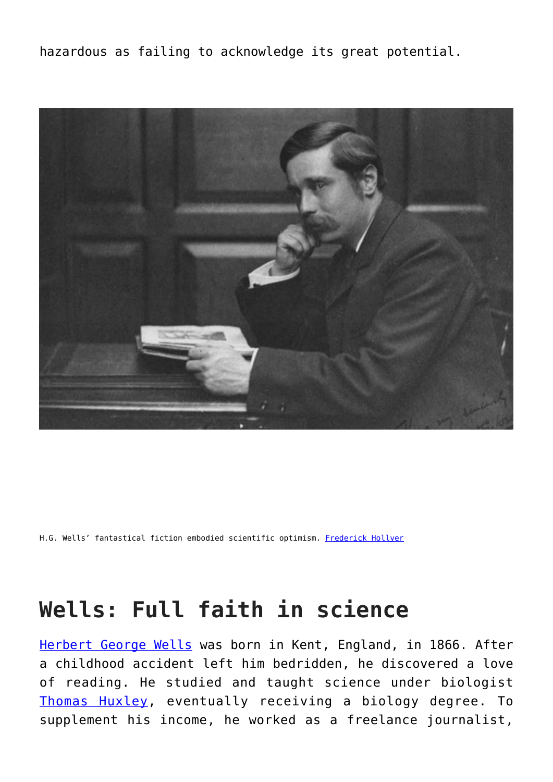hazardous as failing to acknowledge its great potential.



H.G. Wells' fantastical fiction embodied scientific optimism. [Frederick Hollyer](https://commons.wikimedia.org/wiki/File:H._G._Wells,_c.1890.jpg)

#### **Wells: Full faith in science**

[Herbert George Wells](http://www.oxforddnb.com/view/10.1093/ref:odnb/9780198614128.001.0001/odnb-9780198614128-e-36831?rskey=6DO1DC&result=1) was born in Kent, England, in 1866. After a childhood accident left him bedridden, he discovered a love of reading. He studied and taught science under biologist [Thomas Huxley,](http://www.ucmp.berkeley.edu/history/thuxley.html) eventually receiving a biology degree. To supplement his income, he worked as a freelance journalist,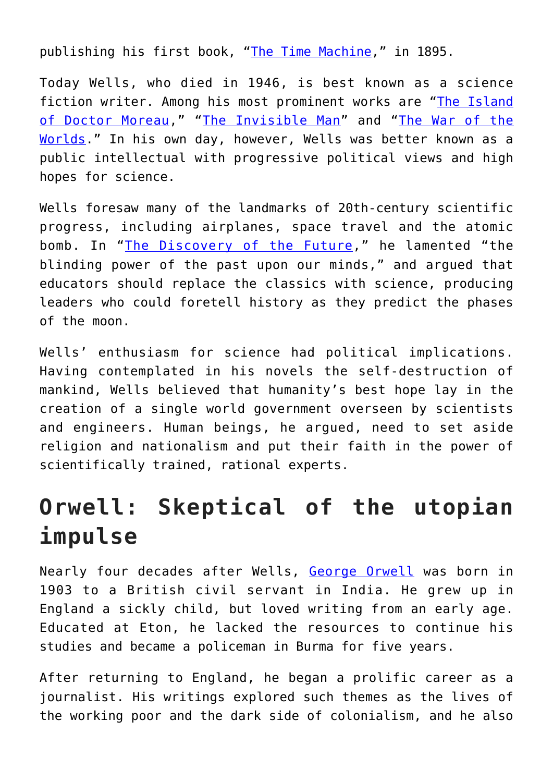publishing his first book, ["The Time Machine](https://en.wikipedia.org/wiki/The_Time_Machine)," in 1895.

Today Wells, who died in 1946, is best known as a science fiction writer. Among his most prominent works are "[The Island](https://www.penguinrandomhouse.com/books/188556/the-island-of-dr-moreau-by-hg-wells/9780375760969) [of Doctor Moreau,](https://www.penguinrandomhouse.com/books/188556/the-island-of-dr-moreau-by-hg-wells/9780375760969)" "[The Invisible Man"](https://www.penguinrandomhouse.com/books/306808/the-invisible-man-by-hg-wells/9780451531674) and "[The War of the](https://www.penguinrandomhouse.com/books/188559/the-war-of-the-worlds-by-hg-wells/9781590171585/) [Worlds](https://www.penguinrandomhouse.com/books/188559/the-war-of-the-worlds-by-hg-wells/9781590171585/)." In his own day, however, Wells was better known as a public intellectual with progressive political views and high hopes for science.

Wells foresaw many of the landmarks of 20th-century scientific progress, including airplanes, space travel and the atomic bomb. In "[The Discovery of the Future](https://archive.org/stream/discoveryoffutur00welliala/discoveryoffutur00welliala_djvu.txt)," he lamented "the blinding power of the past upon our minds," and argued that educators should replace the classics with science, producing leaders who could foretell history as they predict the phases of the moon.

Wells' enthusiasm for science had political implications. Having contemplated in his novels the self-destruction of mankind, Wells believed that humanity's best hope lay in the creation of a single world government overseen by scientists and engineers. Human beings, he argued, need to set aside religion and nationalism and put their faith in the power of scientifically trained, rational experts.

## **Orwell: Skeptical of the utopian impulse**

Nearly four decades after Wells, [George Orwell](http://www.oxforddnb.com/view/10.1093/ref:odnb/9780198614128.001.0001/odnb-9780198614128-e-31915?rskey=rbWoZI&result=1) was born in 1903 to a British civil servant in India. He grew up in England a sickly child, but loved writing from an early age. Educated at Eton, he lacked the resources to continue his studies and became a policeman in Burma for five years.

After returning to England, he began a prolific career as a journalist. His writings explored such themes as the lives of the working poor and the dark side of colonialism, and he also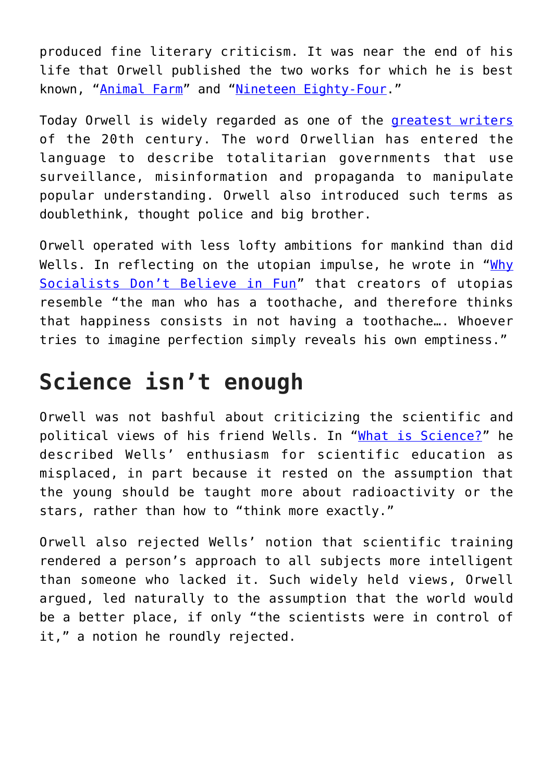produced fine literary criticism. It was near the end of his life that Orwell published the two works for which he is best known, "[Animal Farm"](https://en.wikipedia.org/wiki/Animal_Farm) and "[Nineteen Eighty-Four](https://en.wikipedia.org/wiki/Nineteen_Eighty-Four)."

Today Orwell is widely regarded as one of the [greatest writers](https://artsbeat.blogs.nytimes.com/2008/08/13/the-dominant-writer-of-the-20th-century/) of the 20th century. The word Orwellian has entered the language to describe totalitarian governments that use surveillance, misinformation and propaganda to manipulate popular understanding. Orwell also introduced such terms as doublethink, thought police and big brother.

Orwell operated with less lofty ambitions for mankind than did Wells. In reflecting on the utopian impulse, he wrote in "[Why](http://orwell.ru/library/articles/socialists/english/e_fun) [Socialists Don't Believe in Fun"](http://orwell.ru/library/articles/socialists/english/e_fun) that creators of utopias resemble "the man who has a toothache, and therefore thinks that happiness consists in not having a toothache…. Whoever tries to imagine perfection simply reveals his own emptiness."

#### **Science isn't enough**

Orwell was not bashful about criticizing the scientific and political views of his friend Wells. In "[What is Science?](http://orwell.ru/library/articles/science/english/e_scien)" he described Wells' enthusiasm for scientific education as misplaced, in part because it rested on the assumption that the young should be taught more about radioactivity or the stars, rather than how to "think more exactly."

Orwell also rejected Wells' notion that scientific training rendered a person's approach to all subjects more intelligent than someone who lacked it. Such widely held views, Orwell argued, led naturally to the assumption that the world would be a better place, if only "the scientists were in control of it," a notion he roundly rejected.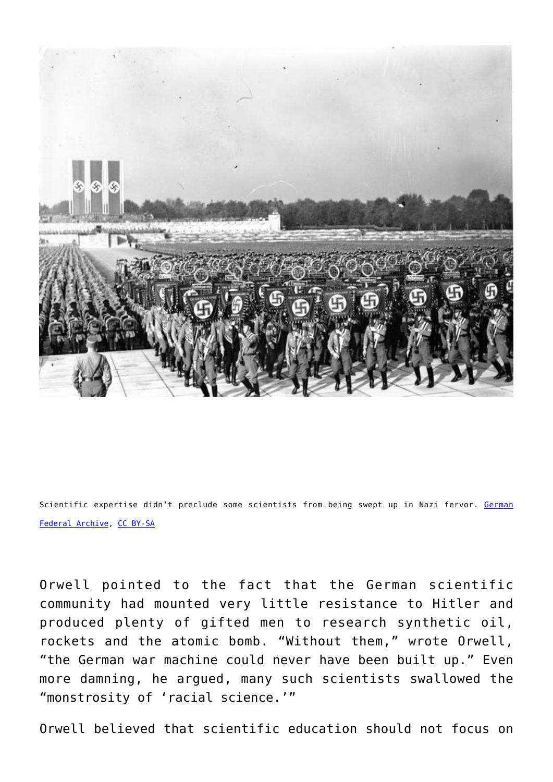

Scientific expertise didn't preclude some scientists from being swept up in Nazi fervor. [German](https://commons.wikimedia.org/wiki/File:Bundesarchiv_Bild_183-H12148,_N%C3%BCrnberg,_Reichsparteitag.jpg) [Federal Archive](https://commons.wikimedia.org/wiki/File:Bundesarchiv_Bild_183-H12148,_N%C3%BCrnberg,_Reichsparteitag.jpg), [CC BY-SA](http://creativecommons.org/licenses/by-sa/4.0/)

Orwell pointed to the fact that the German scientific community had mounted very little resistance to Hitler and produced plenty of gifted men to research synthetic oil, rockets and the atomic bomb. "Without them," wrote Orwell, "the German war machine could never have been built up." Even more damning, he argued, many such scientists swallowed the "monstrosity of 'racial science.'"

Orwell believed that scientific education should not focus on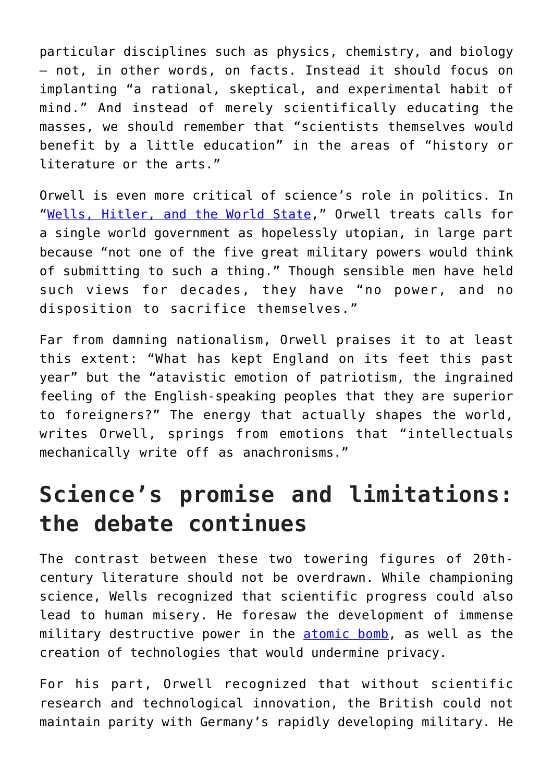particular disciplines such as physics, chemistry, and biology – not, in other words, on facts. Instead it should focus on implanting "a rational, skeptical, and experimental habit of mind." And instead of merely scientifically educating the masses, we should remember that "scientists themselves would benefit by a little education" in the areas of "history or literature or the arts."

Orwell is even more critical of science's role in politics. In "[Wells, Hitler, and the World State](http://orwell.ru/library/reviews/wells/english/e_whws)," Orwell treats calls for a single world government as hopelessly utopian, in large part because "not one of the five great military powers would think of submitting to such a thing." Though sensible men have held such views for decades, they have "no power, and no disposition to sacrifice themselves."

Far from damning nationalism, Orwell praises it to at least this extent: "What has kept England on its feet this past year" but the "atavistic emotion of patriotism, the ingrained feeling of the English-speaking peoples that they are superior to foreigners?" The energy that actually shapes the world, writes Orwell, springs from emotions that "intellectuals mechanically write off as anachronisms."

### **Science's promise and limitations: the debate continues**

The contrast between these two towering figures of 20thcentury literature should not be overdrawn. While championing science, Wells recognized that scientific progress could also lead to human misery. He foresaw the development of immense military destructive power in the [atomic bomb](http://www.bbc.com/news/magazine-33365776), as well as the creation of technologies that would undermine privacy.

For his part, Orwell recognized that without scientific research and technological innovation, the British could not maintain parity with Germany's rapidly developing military. He